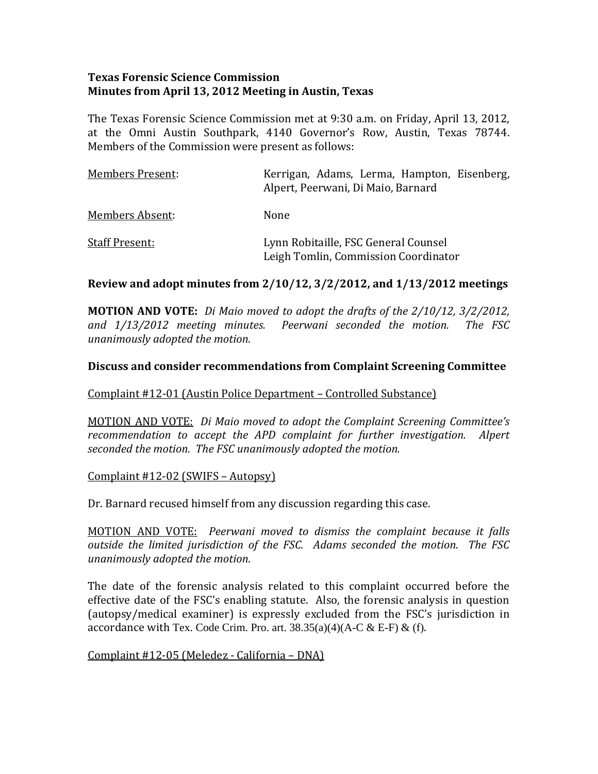### **Texas Forensic Science Commission Minutes from April 13, 2012 Meeting in Austin, Texas**

The Texas Forensic Science Commission met at 9:30 a.m. on Friday, April 13, 2012, at the Omni Austin Southpark, 4140 Governor's Row, Austin, Texas 78744. Members of the Commission were present as follows:

| <b>Members Present:</b> | Kerrigan, Adams, Lerma, Hampton, Eisenberg,<br>Alpert, Peerwani, Di Maio, Barnard |
|-------------------------|-----------------------------------------------------------------------------------|
| <b>Members Absent:</b>  | None                                                                              |
| <b>Staff Present:</b>   | Lynn Robitaille, FSC General Counsel<br>Leigh Tomlin, Commission Coordinator      |

### **Review and adopt minutes from 2/10/12, 3/2/2012, and 1/13/2012 meetings**

**MOTION AND VOTE:** *Di Maio moved to adopt the drafts of the 2/10/12, 3/2/2012, and 1/13/2012 meeting minutes. Peerwani seconded the motion. The FSC unanimously adopted the motion.* 

### **Discuss and consider recommendations from Complaint Screenin g Committee**

#### Complaint #12-01 (Austin Police Department – Controlled Substance)

MOTION AND VOTE: *Di Maio moved to adopt the Complaint Screening Committee's ecommendation to accept the APD complaint for further investigation. Alpert r usly adopted the motion. seconded the motion. The FSC unanimo*

#### Complaint #12‐02 (SWIFS – Autopsy)

Dr. Barnard recused himself from any discussion regarding this case.

MOTION AND VOTE: *Peerwani moved to dismiss the complaint because it falls outside the limited jurisdiction of the FSC. Adams seconded the motion. The FSC unanimously adopted the motion.* 

The date of the forensic analysis related to this complaint occurred before the effective date of the FSC's enabling statute. Also, the forensic analysis in question (autopsy/medical examiner) is expressly excluded from the FSC's jurisdiction in accordance with Tex. Code Crim. Pro. art.  $38.35(a)(4)(A-C & E-F) & (f)$ .

Complaint #12‐05 (Meledez ‐ California – DNA)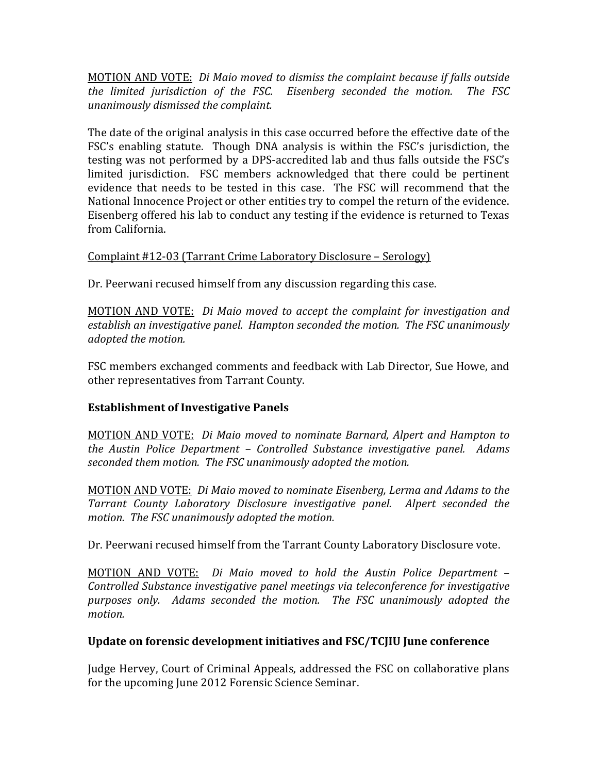MOTION AND VOTE: *Di Maio moved to dismiss the complaint because if falls outside the limited jurisdiction of the FSC. Eisenberg seconded the motion. The FSC unanimously dismissed the complaint.* 

The date of the original analysis in this case occurred before the effective date of the FSC's enabling statute. Though DNA analysis is within the FSC's jurisdiction, the testing was not performed by a DPS‐accredited lab and thus falls outside the FSC's limited jurisdiction. FSC members acknowledged that there could be pertinent evidence that needs to be tested in this case. The FSC will recommend that the National Innocence Project or other entities try to compel the return of the evidence. Eisenberg offered his lab to conduct any testing if the evidence is returned to Texas from California.

# Complaint #12‐03 (Tarrant Crime Laboratory Disclosure – Serology)

Dr. Peerwani recused himself from any discussion regarding this case.

MOTION AND VOTE: *Di Maio moved to accept the complaint for investigation and establish an investigative panel. Hampton seconded the motion. The FSC unanimously adopted the motion.* 

FSC members exchanged comments and feedback with Lab Director, Sue Howe, and other representatives from Tarrant County.

# **Establishment of Investigative Panels**

MOTION AND VOTE: *Di Maio moved to nominate Barnard, Alpert and Hampton to the Austin Police Department – Controlled Substance investigative panel. Adams seconded them motion. The FSC unanimously adopted the motion.* 

MOTION AND VOTE: *Di Maio moved to nominate Eisenberg, Lerma and Adams to the Tarrant County Laboratory Disclosure investigative panel. Alpert seconded the motion. The FSC unanimously adopted the motion.* 

Dr. Peerwani recused himself from the Tarrant County Laboratory Disclosure vote.

MOTION AND VOTE: *Di Maio moved to hold the Austin Police Department – Controlled Substance investigative panel meetings via teleconference for investigative purposes only. Adams seconded the motion. The FSC unanimously adopted the motion.*

# **Update on forensic development initiatives and FSC/TCJIU June conference**

Judge Hervey, Court of Criminal Appeals, addressed the FSC on collaborative plans for the upcoming June 2012 Forensic Science Seminar.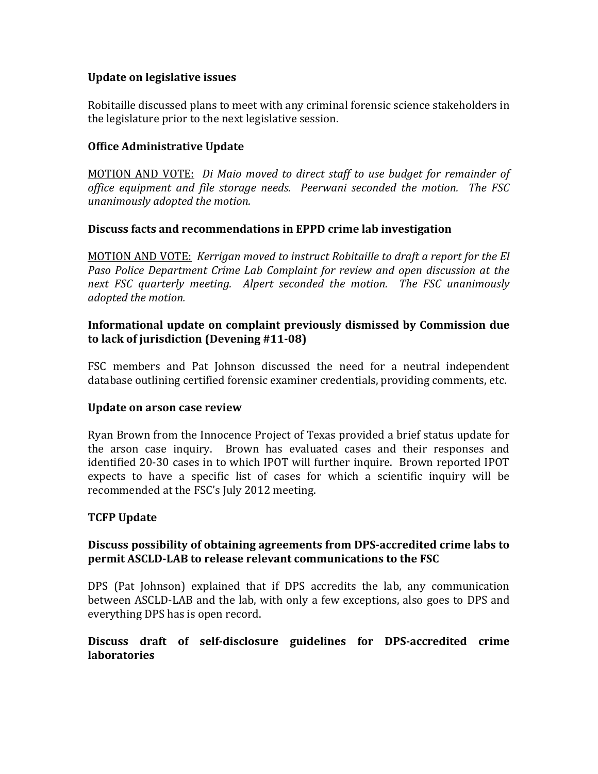### **Update on legislative issues**

Robitaille discussed plans to meet with any criminal forensic science stakeholders in the legislature prior to the next legislative session.

# **Office Administrative Update**

MOTION AND VOTE: *Di Maio moved to direct staff to use budget for remainder of office equipment and file storage needs. Peerwani seconded the motion. The FSC unanimously adopted the motion.* 

### **Discuss facts and rec ommendations in EPPD crime lab investigation**

MOTION AND VOTE: *Kerrigan moved to instruct Robitaille to draft a report for the El Paso Police Department Crime Lab Complaint for review and open discussion at the ext FSC quarterly meeting. Alpert seconded the motion. The FSC unanimously n dopted the motion. a*

### **Informational update on complaint previously dismissed by Commission due to lack of jurisdiction (Devening #1108)**

FSC members and Pat Johnson discussed the need for a neutral independent database outlining certified forensic examiner credentials, providing comments, etc.

### **Update on arson case review**

Ryan Brown from the Innocence Project of Texas provided a brief status update for the arson case inquiry. Brown has evaluated cases and their responses and identified 20‐30 cases in to which IPOT will further inquire. Brown reported IPOT expects to have a specific list of cases for which a scientific inquiry will be recommended at the FSC's July 2012 meeting.

### **TCFP Update**

# **Discuss possibility of obtaining agreements from DPSaccredited crime labs to permit ASCLDLAB to release relevant communications to the FSC**

DPS (Pat Johnson) explained that if DPS accredits the lab, any communication between ASCLD‐LAB and the lab, with only a few exceptions, also goes to DPS and everything DPS has is open record. 

# **Discuss draft of selfdisclosure guidelines for DPSaccredited crime laboratories**